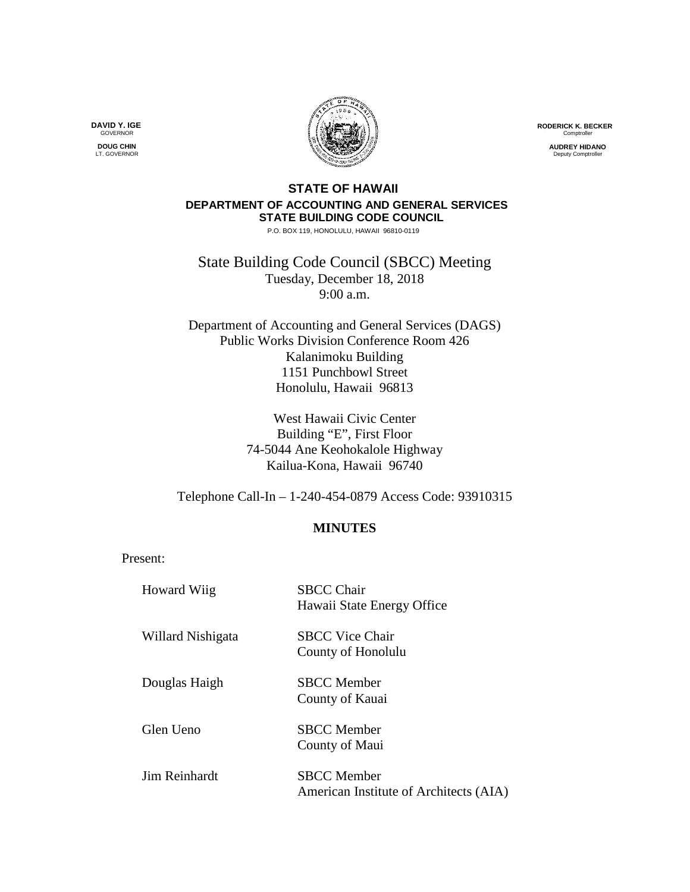**RODERICK K. BECKER Comptroller** 

> **AUDREY HIDANO** Deputy Comptrolle

## **STATE OF HAWAII DEPARTMENT OF ACCOUNTING AND GENERAL SERVICES STATE BUILDING CODE COUNCIL**

P.O. BOX 119, HONOLULU, HAWAII 96810-0119

State Building Code Council (SBCC) Meeting Tuesday, December 18, 2018 9:00 a.m.

Department of Accounting and General Services (DAGS) Public Works Division Conference Room 426 Kalanimoku Building 1151 Punchbowl Street Honolulu, Hawaii 96813

> West Hawaii Civic Center Building "E", First Floor 74-5044 Ane Keohokalole Highway Kailua-Kona, Hawaii 96740

Telephone Call-In – 1-240-454-0879 Access Code: 93910315

## **MINUTES**

Present:

| Howard Wiig       | <b>SBCC Chair</b><br>Hawaii State Energy Office              |
|-------------------|--------------------------------------------------------------|
| Willard Nishigata | <b>SBCC Vice Chair</b><br>County of Honolulu                 |
| Douglas Haigh     | <b>SBCC</b> Member<br>County of Kauai                        |
| Glen Ueno         | <b>SBCC</b> Member<br>County of Maui                         |
| Jim Reinhardt     | <b>SBCC</b> Member<br>American Institute of Architects (AIA) |

**DAVID Y. IGE GOVERNOR** 

**DOUG CHIN** LT. GOVERNOR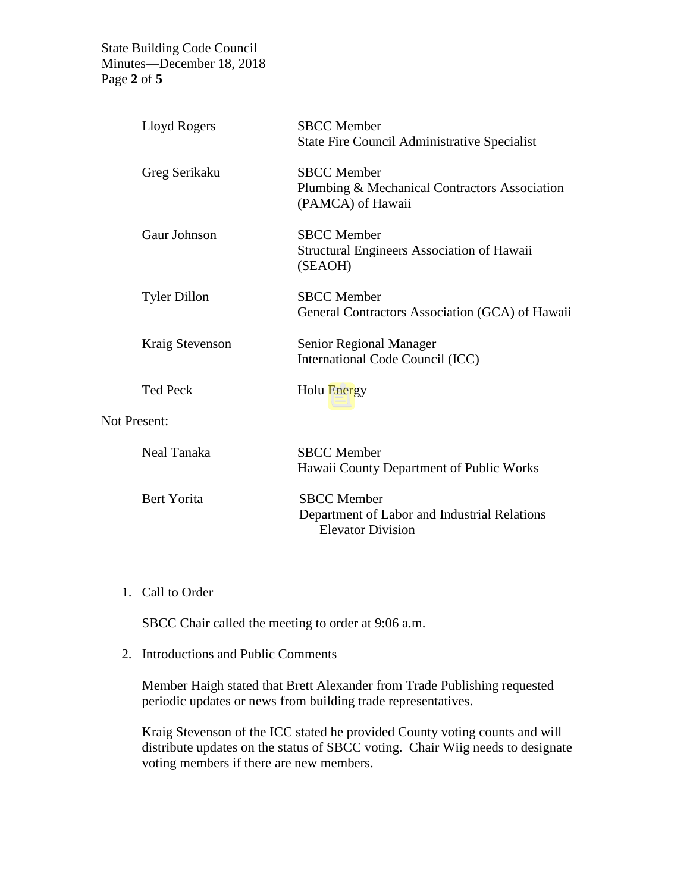State Building Code Council Minutes—December 18, 2018 Page **2** of **5**

|                     | Lloyd Rogers        | <b>SBCC</b> Member<br><b>State Fire Council Administrative Specialist</b>                      |
|---------------------|---------------------|------------------------------------------------------------------------------------------------|
|                     | Greg Serikaku       | <b>SBCC</b> Member<br>Plumbing & Mechanical Contractors Association<br>(PAMCA) of Hawaii       |
|                     | Gaur Johnson        | <b>SBCC</b> Member<br><b>Structural Engineers Association of Hawaii</b><br>(SEAOH)             |
|                     | <b>Tyler Dillon</b> | <b>SBCC</b> Member<br>General Contractors Association (GCA) of Hawaii                          |
|                     | Kraig Stevenson     | Senior Regional Manager<br>International Code Council (ICC)                                    |
|                     | <b>Ted Peck</b>     | Holu Energy                                                                                    |
| <b>Not Present:</b> |                     |                                                                                                |
|                     | Neal Tanaka         | <b>SBCC</b> Member<br>Hawaii County Department of Public Works                                 |
|                     | Bert Yorita         | <b>SBCC</b> Member<br>Department of Labor and Industrial Relations<br><b>Elevator Division</b> |

1. Call to Order

SBCC Chair called the meeting to order at 9:06 a.m.

2. Introductions and Public Comments

Member Haigh stated that Brett Alexander from Trade Publishing requested periodic updates or news from building trade representatives.

Kraig Stevenson of the ICC stated he provided County voting counts and will distribute updates on the status of SBCC voting. Chair Wiig needs to designate voting members if there are new members.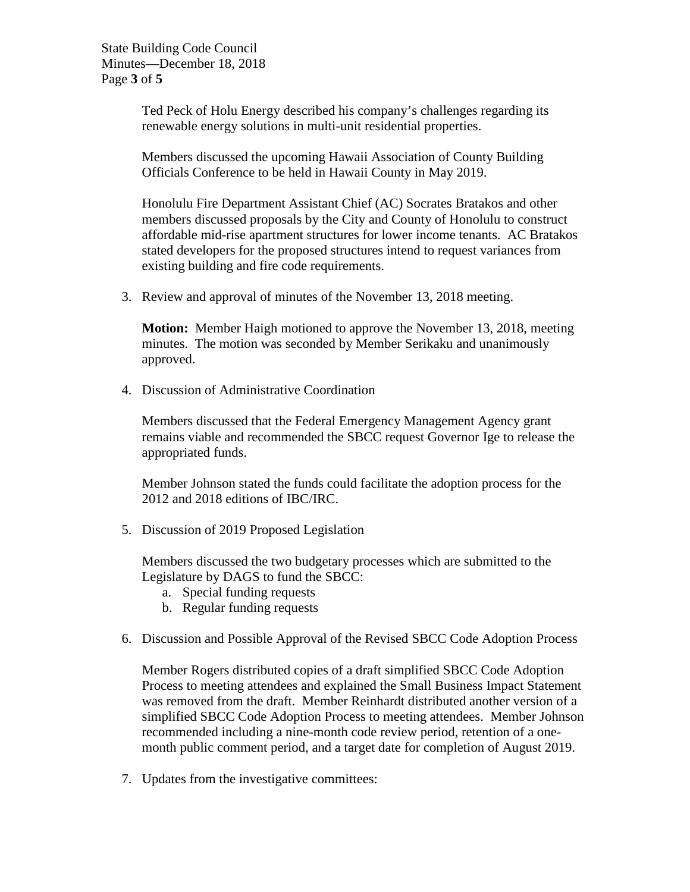State Building Code Council Minutes—December 18, 2018 Page **3** of **5**

> Ted Peck of Holu Energy described his company's challenges regarding its renewable energy solutions in multi-unit residential properties.

Members discussed the upcoming Hawaii Association of County Building Officials Conference to be held in Hawaii County in May 2019.

Honolulu Fire Department Assistant Chief (AC) Socrates Bratakos and other members discussed proposals by the City and County of Honolulu to construct affordable mid-rise apartment structures for lower income tenants. AC Bratakos stated developers for the proposed structures intend to request variances from existing building and fire code requirements.

3. Review and approval of minutes of the November 13, 2018 meeting.

**Motion:** Member Haigh motioned to approve the November 13, 2018, meeting minutes. The motion was seconded by Member Serikaku and unanimously approved.

4. Discussion of Administrative Coordination

Members discussed that the Federal Emergency Management Agency grant remains viable and recommended the SBCC request Governor Ige to release the appropriated funds.

Member Johnson stated the funds could facilitate the adoption process for the 2012 and 2018 editions of IBC/IRC.

5. Discussion of 2019 Proposed Legislation

Members discussed the two budgetary processes which are submitted to the Legislature by DAGS to fund the SBCC:

- a. Special funding requests
- b. Regular funding requests
- 6. Discussion and Possible Approval of the Revised SBCC Code Adoption Process

Member Rogers distributed copies of a draft simplified SBCC Code Adoption Process to meeting attendees and explained the Small Business Impact Statement was removed from the draft. Member Reinhardt distributed another version of a simplified SBCC Code Adoption Process to meeting attendees. Member Johnson recommended including a nine-month code review period, retention of a onemonth public comment period, and a target date for completion of August 2019.

7. Updates from the investigative committees: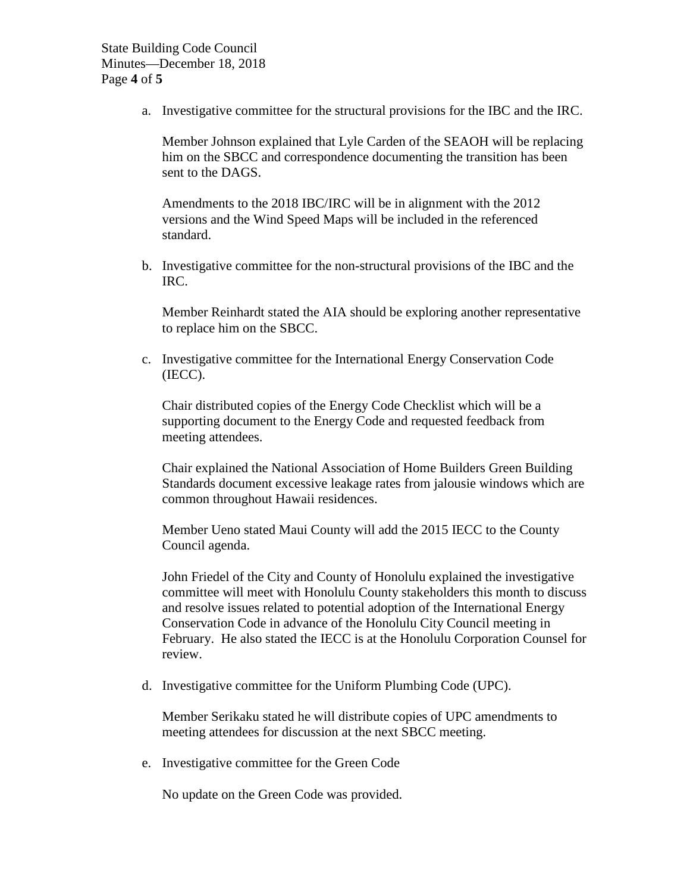a. Investigative committee for the structural provisions for the IBC and the IRC.

Member Johnson explained that Lyle Carden of the SEAOH will be replacing him on the SBCC and correspondence documenting the transition has been sent to the DAGS.

Amendments to the 2018 IBC/IRC will be in alignment with the 2012 versions and the Wind Speed Maps will be included in the referenced standard.

b. Investigative committee for the non-structural provisions of the IBC and the IRC.

Member Reinhardt stated the AIA should be exploring another representative to replace him on the SBCC.

c. Investigative committee for the International Energy Conservation Code (IECC).

Chair distributed copies of the Energy Code Checklist which will be a supporting document to the Energy Code and requested feedback from meeting attendees.

Chair explained the National Association of Home Builders Green Building Standards document excessive leakage rates from jalousie windows which are common throughout Hawaii residences.

Member Ueno stated Maui County will add the 2015 IECC to the County Council agenda.

John Friedel of the City and County of Honolulu explained the investigative committee will meet with Honolulu County stakeholders this month to discuss and resolve issues related to potential adoption of the International Energy Conservation Code in advance of the Honolulu City Council meeting in February. He also stated the IECC is at the Honolulu Corporation Counsel for review.

d. Investigative committee for the Uniform Plumbing Code (UPC).

Member Serikaku stated he will distribute copies of UPC amendments to meeting attendees for discussion at the next SBCC meeting.

e. Investigative committee for the Green Code

No update on the Green Code was provided.